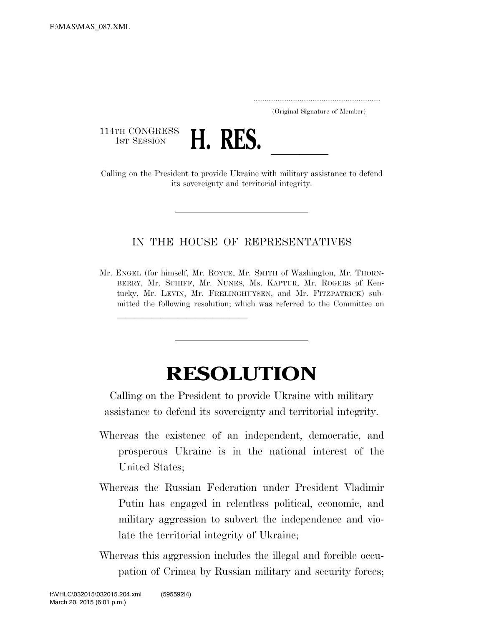..................................................................... (Original Signature of Member)

114TH CONGRESS<br>1st Session



1ST SESSION **H. RES.** <u>Calling on the President to provide Ukraine with military assistance to defend</u> its sovereignty and territorial integrity.

## IN THE HOUSE OF REPRESENTATIVES

Mr. ENGEL (for himself, Mr. ROYCE, Mr. SMITH of Washington, Mr. THORN-BERRY, Mr. SCHIFF, Mr. NUNES, Ms. KAPTUR, Mr. ROGERS of Kentucky, Mr. LEVIN, Mr. FRELINGHUYSEN, and Mr. FITZPATRICK) submitted the following resolution; which was referred to the Committee on

llland and a state of the state of the state of the state of the state of the state of the state of the state o

## **RESOLUTION**

Calling on the President to provide Ukraine with military assistance to defend its sovereignty and territorial integrity.

- Whereas the existence of an independent, democratic, and prosperous Ukraine is in the national interest of the United States;
- Whereas the Russian Federation under President Vladimir Putin has engaged in relentless political, economic, and military aggression to subvert the independence and violate the territorial integrity of Ukraine;
- Whereas this aggression includes the illegal and forcible occupation of Crimea by Russian military and security forces;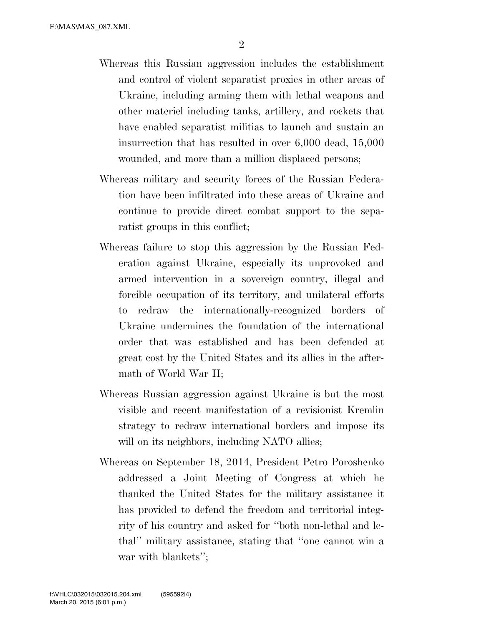- Whereas this Russian aggression includes the establishment and control of violent separatist proxies in other areas of Ukraine, including arming them with lethal weapons and other materiel including tanks, artillery, and rockets that have enabled separatist militias to launch and sustain an insurrection that has resulted in over 6,000 dead, 15,000 wounded, and more than a million displaced persons;
- Whereas military and security forces of the Russian Federation have been infiltrated into these areas of Ukraine and continue to provide direct combat support to the separatist groups in this conflict;
- Whereas failure to stop this aggression by the Russian Federation against Ukraine, especially its unprovoked and armed intervention in a sovereign country, illegal and forcible occupation of its territory, and unilateral efforts to redraw the internationally-recognized borders of Ukraine undermines the foundation of the international order that was established and has been defended at great cost by the United States and its allies in the aftermath of World War II;
- Whereas Russian aggression against Ukraine is but the most visible and recent manifestation of a revisionist Kremlin strategy to redraw international borders and impose its will on its neighbors, including NATO allies;
- Whereas on September 18, 2014, President Petro Poroshenko addressed a Joint Meeting of Congress at which he thanked the United States for the military assistance it has provided to defend the freedom and territorial integrity of his country and asked for ''both non-lethal and lethal'' military assistance, stating that ''one cannot win a war with blankets'';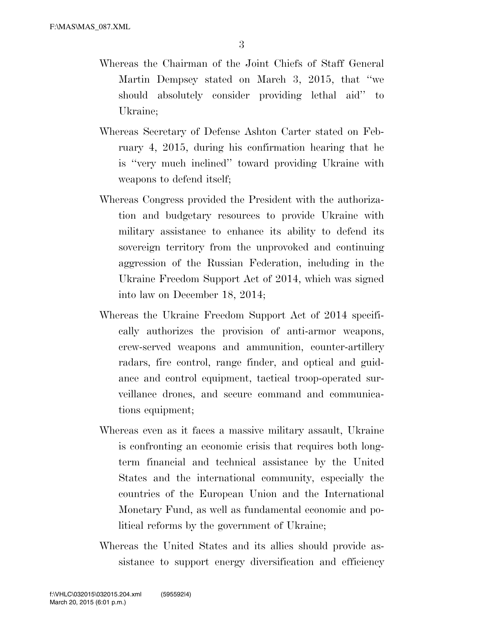- Whereas the Chairman of the Joint Chiefs of Staff General Martin Dempsey stated on March 3, 2015, that ''we should absolutely consider providing lethal aid'' to Ukraine;
- Whereas Secretary of Defense Ashton Carter stated on February 4, 2015, during his confirmation hearing that he is ''very much inclined'' toward providing Ukraine with weapons to defend itself;
- Whereas Congress provided the President with the authorization and budgetary resources to provide Ukraine with military assistance to enhance its ability to defend its sovereign territory from the unprovoked and continuing aggression of the Russian Federation, including in the Ukraine Freedom Support Act of 2014, which was signed into law on December 18, 2014;
- Whereas the Ukraine Freedom Support Act of 2014 specifically authorizes the provision of anti-armor weapons, crew-served weapons and ammunition, counter-artillery radars, fire control, range finder, and optical and guidance and control equipment, tactical troop-operated surveillance drones, and secure command and communications equipment;
- Whereas even as it faces a massive military assault, Ukraine is confronting an economic crisis that requires both longterm financial and technical assistance by the United States and the international community, especially the countries of the European Union and the International Monetary Fund, as well as fundamental economic and political reforms by the government of Ukraine;
- Whereas the United States and its allies should provide assistance to support energy diversification and efficiency